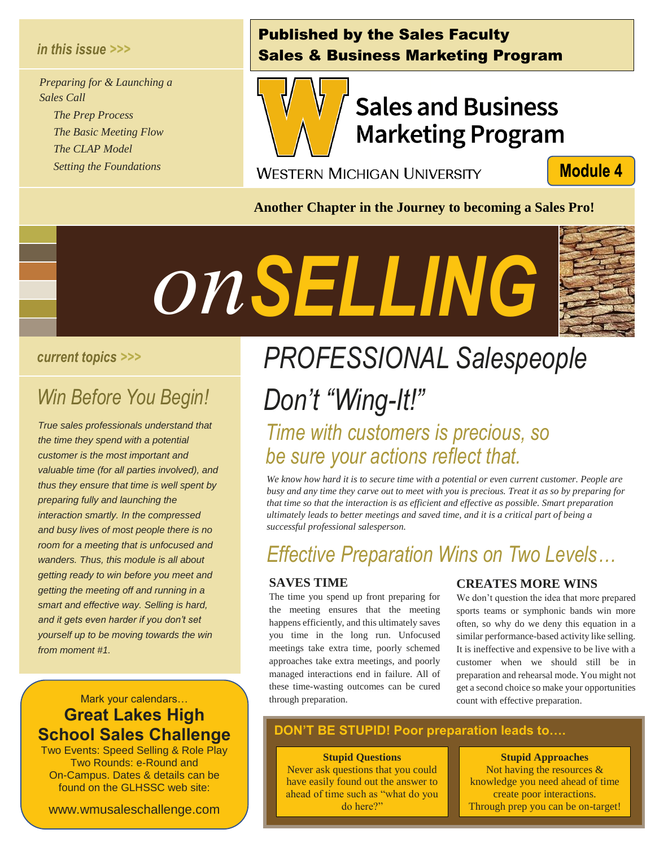### *in this issue >>>*

*Preparing for & Launching a Sales Call The Prep Process The Basic Meeting Flow The CLAP Model*

 *Setting the Foundations*

### Published by the Sales Faculty Sales & Business Marketing Program



# **Sales and Business Marketing Program**

**WESTERN MICHIGAN UNIVERSITY** 

**Module 4** 

**Another Chapter in the Journey to becoming a Sales Pro!**



### *current topics >>>*

# *Win Before You Begin! Segin!<br><i>Segin!*<br>*Separa that*

*True sales professionals understand that the time they spend with a potential customer is the most important and valuable time (for all parties involved), and thus they ensure that time is well spent by preparing fully and launching the interaction smartly. In the compressed and busy lives of most people there is no room for a meeting that is unfocused and wanders. Thus, this module is all about getting ready to win before you meet and getting the meeting off and running in a smart and effective way. Selling is hard, and it gets even harder if you don't set yourself up to be moving towards the win from moment #1.* 

### Mark your calendars… **Great Lakes High School Sales Challenge**

Two Events: Speed Selling & Role Play Two Rounds: e-Round and On-Campus. Dates & details can be found on the GLHSSC web site:

www.wmusaleschallenge.com

# *PROFESSIONAL Salespeople Don't "Wing-It!"*

### *Time with customers is precious, so be sure your actions reflect that.*

*We know how hard it is to secure time with a potential or even current customer. People are busy and any time they carve out to meet with you is precious. Treat it as so by preparing for that time so that the interaction is as efficient and effective as possible. Smart preparation ultimately leads to better meetings and saved time, and it is a critical part of being a successful professional salesperson.*

### *Effective Preparation Wins on Two Levels…*

### **SAVES TIME**

The time you spend up front preparing for the meeting ensures that the meeting happens efficiently, and this ultimately saves you time in the long run. Unfocused meetings take extra time, poorly schemed approaches take extra meetings, and poorly managed interactions end in failure. All of these time-wasting outcomes can be cured through preparation.

### **CREATES MORE WINS**

We don't question the idea that more prepared sports teams or symphonic bands win more often, so why do we deny this equation in a similar performance-based activity like selling. It is ineffective and expensive to be live with a customer when we should still be in preparation and rehearsal mode. You might not get a second choice so make your opportunities count with effective preparation.

### **DON'T BE STUPID! Poor preparation leads to….**

l

#### **Stupid Questions**

Never ask questions that you could have easily found out the answer to ahead of time such as "what do you do here?"

**Stupid Approaches** Not having the resources & knowledge you need ahead of time create poor interactions. Through prep you can be on-target!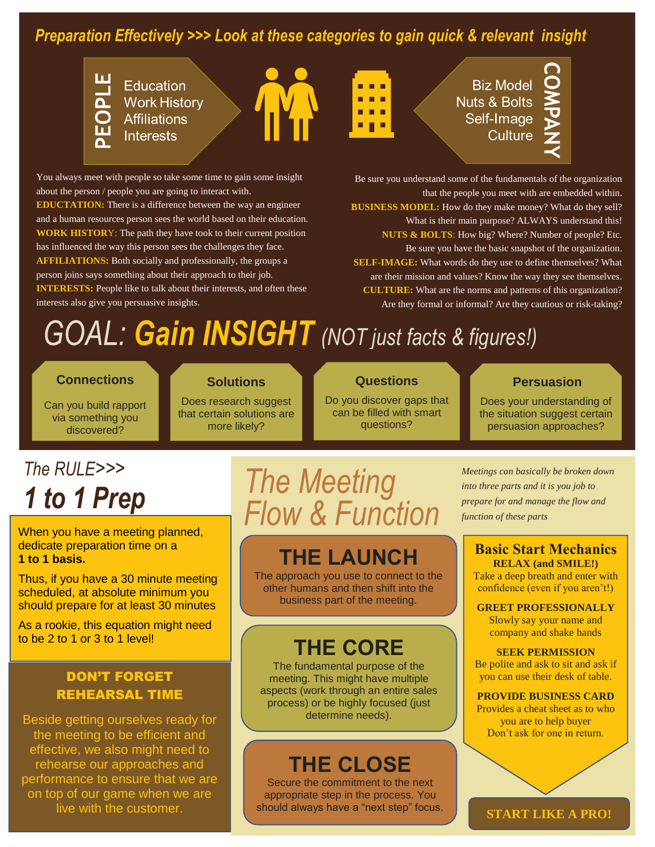### *Preparation Effectively >>> Look at these categories to gain quick & relevant insight*



**Education Work History Affiliations Interests** 

You always meet with people so take some time to gain some insight

**EDUCTATION:** There is a difference between the way an engineer and a human resources person sees the world based on their education. **WORK HISTOR**Y: The path they have took to their current position has influenced the way this person sees the challenges they face. **AFFILIATIONS:** Both socially and professionally, the groups a person joins says something about their approach to their job.

**INTERESTS:** People like to talk about their interests, and often these

about the person / people you are going to interact with.



**Biz Model Nuts & Bolts** Self-Image Culture



Be sure you understand some of the fundamentals of the organization that the people you meet with are embedded within. **BUSINESS MODEL:** How do they make money? What do they sell? What is their main purpose? ALWAYS understand this! **NUTS & BOLTS**: How big? Where? Number of people? Etc. Be sure you have the basic snapshot of the organization. **SELF-IMAGE:** What words do they use to define themselves? What are their mission and values? Know the way they see themselves. **CULTURE:** What are the norms and patterns of this organization? Are they formal or informal? Are they cautious or risk-taking?

# *GOAL: Gain INSIGHT (NOT just facts & figures!)*

### **Connections**

interests also give you persuasive insights.

**Solutions**

Can you build rapport via something you discovered?

Does research suggest that certain solutions are more likely?

### **Questions**

Do you discover gaps that can be filled with smart questions?

### **Persuasion**

Does your understanding of the situation suggest certain persuasion approaches?

# *The RULE>>>*

When you have a meeting planned, dedicate preparation time on a **1 to 1 basis.** 

Thus, if you have a 30 minute meeting scheduled, at absolute minimum you should prepare for at least 30 minutes

As a rookie, this equation might need to be 2 to 1 or 3 to 1 level!

### DON'T FORGET REHEARSAL TIME

Beside getting ourselves ready for the meeting to be efficient and effective, we also might need to rehearse our approaches and performance to ensure that we are on top of our game when we are live with the customer.

# *1 to 1 Prep The Meeting Flow & Function*

### **THE LAUNCH**

The approach you use to connect to the other humans and then shift into the business part of the meeting.

### **THE CORE**

The fundamental purpose of the meeting. This might have multiple aspects (work through an entire sales process) or be highly focused (just determine needs).

## **THE CLOSE**

Secure the commitment to the next appropriate step in the process. You should always have a "next step" focus. *Meetings can basically be broken down into three parts and it is you job to prepare for and manage the flow and function of these parts*

#### **Basic Start Mechanics RELAX (and SMILE!)**

Take a deep breath and enter with confidence (even if you aren't!)

#### **GREET PROFESSIONALLY**

Slowly say your name and company and shake hands

#### **SEEK PERMISSION**

Be polite and ask to sit and ask if you can use their desk of table.

#### **PROVIDE BUSINESS CARD**

Provides a cheat sheet as to who you are to help buyer Don't ask for one in return.

**START LIKE A PRO!**